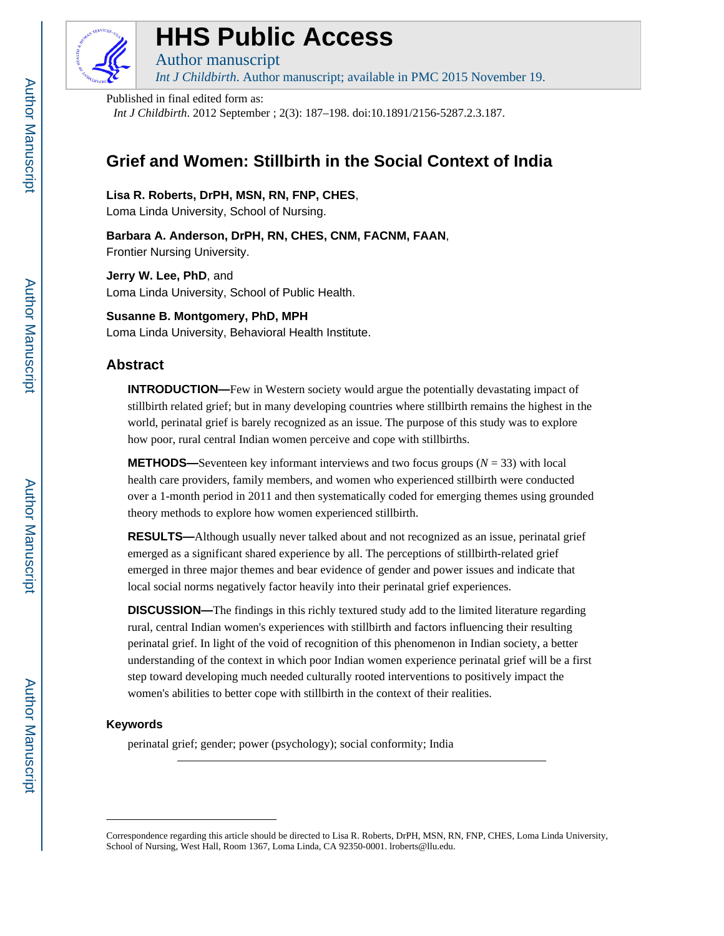

# **HHS Public Access**

Author manuscript *Int J Childbirth*. Author manuscript; available in PMC 2015 November 19.

Published in final edited form as:

*Int J Childbirth*. 2012 September ; 2(3): 187–198. doi:10.1891/2156-5287.2.3.187.

## **Grief and Women: Stillbirth in the Social Context of India**

**Lisa R. Roberts, DrPH, MSN, RN, FNP, CHES**,

Loma Linda University, School of Nursing.

**Barbara A. Anderson, DrPH, RN, CHES, CNM, FACNM, FAAN**, Frontier Nursing University.

**Jerry W. Lee, PhD**, and Loma Linda University, School of Public Health.

**Susanne B. Montgomery, PhD, MPH** Loma Linda University, Behavioral Health Institute.

## **Abstract**

**INTRODUCTION—**Few in Western society would argue the potentially devastating impact of stillbirth related grief; but in many developing countries where stillbirth remains the highest in the world, perinatal grief is barely recognized as an issue. The purpose of this study was to explore how poor, rural central Indian women perceive and cope with stillbirths.

**METHODS**—Seventeen key informant interviews and two focus groups  $(N = 33)$  with local health care providers, family members, and women who experienced stillbirth were conducted over a 1-month period in 2011 and then systematically coded for emerging themes using grounded theory methods to explore how women experienced stillbirth.

**RESULTS—**Although usually never talked about and not recognized as an issue, perinatal grief emerged as a significant shared experience by all. The perceptions of stillbirth-related grief emerged in three major themes and bear evidence of gender and power issues and indicate that local social norms negatively factor heavily into their perinatal grief experiences.

**DISCUSSION—**The findings in this richly textured study add to the limited literature regarding rural, central Indian women's experiences with stillbirth and factors influencing their resulting perinatal grief. In light of the void of recognition of this phenomenon in Indian society, a better understanding of the context in which poor Indian women experience perinatal grief will be a first step toward developing much needed culturally rooted interventions to positively impact the women's abilities to better cope with stillbirth in the context of their realities.

## **Keywords**

perinatal grief; gender; power (psychology); social conformity; India

Correspondence regarding this article should be directed to Lisa R. Roberts, DrPH, MSN, RN, FNP, CHES, Loma Linda University, School of Nursing, West Hall, Room 1367, Loma Linda, CA 92350-0001. lroberts@llu.edu.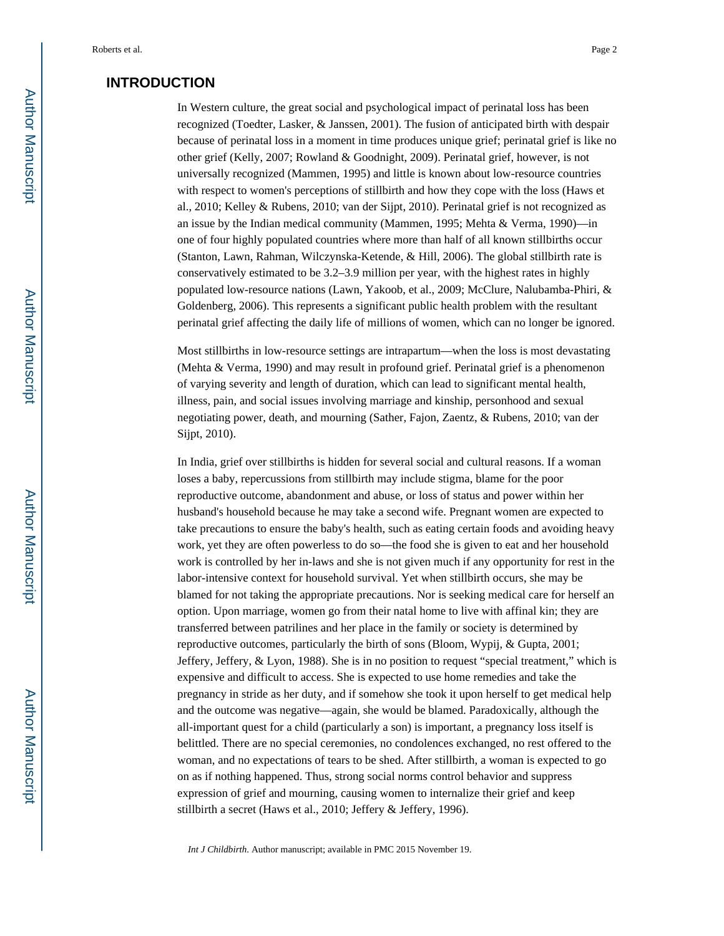## **INTRODUCTION**

In Western culture, the great social and psychological impact of perinatal loss has been recognized (Toedter, Lasker, & Janssen, 2001). The fusion of anticipated birth with despair because of perinatal loss in a moment in time produces unique grief; perinatal grief is like no other grief (Kelly, 2007; Rowland & Goodnight, 2009). Perinatal grief, however, is not universally recognized (Mammen, 1995) and little is known about low-resource countries with respect to women's perceptions of stillbirth and how they cope with the loss (Haws et al., 2010; Kelley & Rubens, 2010; van der Sijpt, 2010). Perinatal grief is not recognized as an issue by the Indian medical community (Mammen, 1995; Mehta & Verma, 1990)—in one of four highly populated countries where more than half of all known stillbirths occur (Stanton, Lawn, Rahman, Wilczynska-Ketende, & Hill, 2006). The global stillbirth rate is conservatively estimated to be 3.2–3.9 million per year, with the highest rates in highly populated low-resource nations (Lawn, Yakoob, et al., 2009; McClure, Nalubamba-Phiri, & Goldenberg, 2006). This represents a significant public health problem with the resultant perinatal grief affecting the daily life of millions of women, which can no longer be ignored.

Most stillbirths in low-resource settings are intrapartum—when the loss is most devastating (Mehta & Verma, 1990) and may result in profound grief. Perinatal grief is a phenomenon of varying severity and length of duration, which can lead to significant mental health, illness, pain, and social issues involving marriage and kinship, personhood and sexual negotiating power, death, and mourning (Sather, Fajon, Zaentz, & Rubens, 2010; van der Sijpt, 2010).

In India, grief over stillbirths is hidden for several social and cultural reasons. If a woman loses a baby, repercussions from stillbirth may include stigma, blame for the poor reproductive outcome, abandonment and abuse, or loss of status and power within her husband's household because he may take a second wife. Pregnant women are expected to take precautions to ensure the baby's health, such as eating certain foods and avoiding heavy work, yet they are often powerless to do so—the food she is given to eat and her household work is controlled by her in-laws and she is not given much if any opportunity for rest in the labor-intensive context for household survival. Yet when stillbirth occurs, she may be blamed for not taking the appropriate precautions. Nor is seeking medical care for herself an option. Upon marriage, women go from their natal home to live with affinal kin; they are transferred between patrilines and her place in the family or society is determined by reproductive outcomes, particularly the birth of sons (Bloom, Wypij, & Gupta, 2001; Jeffery, Jeffery, & Lyon, 1988). She is in no position to request "special treatment," which is expensive and difficult to access. She is expected to use home remedies and take the pregnancy in stride as her duty, and if somehow she took it upon herself to get medical help and the outcome was negative—again, she would be blamed. Paradoxically, although the all-important quest for a child (particularly a son) is important, a pregnancy loss itself is belittled. There are no special ceremonies, no condolences exchanged, no rest offered to the woman, and no expectations of tears to be shed. After stillbirth, a woman is expected to go on as if nothing happened. Thus, strong social norms control behavior and suppress expression of grief and mourning, causing women to internalize their grief and keep stillbirth a secret (Haws et al., 2010; Jeffery & Jeffery, 1996).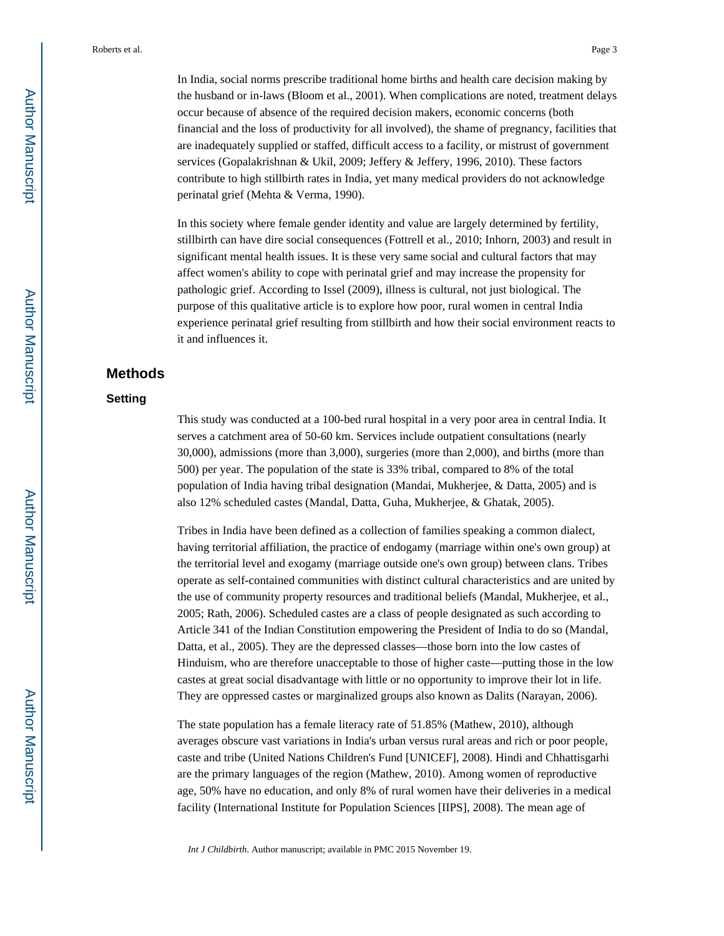In India, social norms prescribe traditional home births and health care decision making by the husband or in-laws (Bloom et al., 2001). When complications are noted, treatment delays occur because of absence of the required decision makers, economic concerns (both financial and the loss of productivity for all involved), the shame of pregnancy, facilities that are inadequately supplied or staffed, difficult access to a facility, or mistrust of government services (Gopalakrishnan & Ukil, 2009; Jeffery & Jeffery, 1996, 2010). These factors contribute to high stillbirth rates in India, yet many medical providers do not acknowledge perinatal grief (Mehta & Verma, 1990).

In this society where female gender identity and value are largely determined by fertility, stillbirth can have dire social consequences (Fottrell et al., 2010; Inhorn, 2003) and result in significant mental health issues. It is these very same social and cultural factors that may affect women's ability to cope with perinatal grief and may increase the propensity for pathologic grief. According to Issel (2009), illness is cultural, not just biological. The purpose of this qualitative article is to explore how poor, rural women in central India experience perinatal grief resulting from stillbirth and how their social environment reacts to it and influences it.

#### **Methods**

#### **Setting**

This study was conducted at a 100-bed rural hospital in a very poor area in central India. It serves a catchment area of 50-60 km. Services include outpatient consultations (nearly 30,000), admissions (more than 3,000), surgeries (more than 2,000), and births (more than 500) per year. The population of the state is 33% tribal, compared to 8% of the total population of India having tribal designation (Mandai, Mukherjee, & Datta, 2005) and is also 12% scheduled castes (Mandal, Datta, Guha, Mukherjee, & Ghatak, 2005).

Tribes in India have been defined as a collection of families speaking a common dialect, having territorial affiliation, the practice of endogamy (marriage within one's own group) at the territorial level and exogamy (marriage outside one's own group) between clans. Tribes operate as self-contained communities with distinct cultural characteristics and are united by the use of community property resources and traditional beliefs (Mandal, Mukherjee, et al., 2005; Rath, 2006). Scheduled castes are a class of people designated as such according to Article 341 of the Indian Constitution empowering the President of India to do so (Mandal, Datta, et al., 2005). They are the depressed classes—those born into the low castes of Hinduism, who are therefore unacceptable to those of higher caste—putting those in the low castes at great social disadvantage with little or no opportunity to improve their lot in life. They are oppressed castes or marginalized groups also known as Dalits (Narayan, 2006).

The state population has a female literacy rate of 51.85% (Mathew, 2010), although averages obscure vast variations in India's urban versus rural areas and rich or poor people, caste and tribe (United Nations Children's Fund [UNICEF], 2008). Hindi and Chhattisgarhi are the primary languages of the region (Mathew, 2010). Among women of reproductive age, 50% have no education, and only 8% of rural women have their deliveries in a medical facility (International Institute for Population Sciences [IIPS], 2008). The mean age of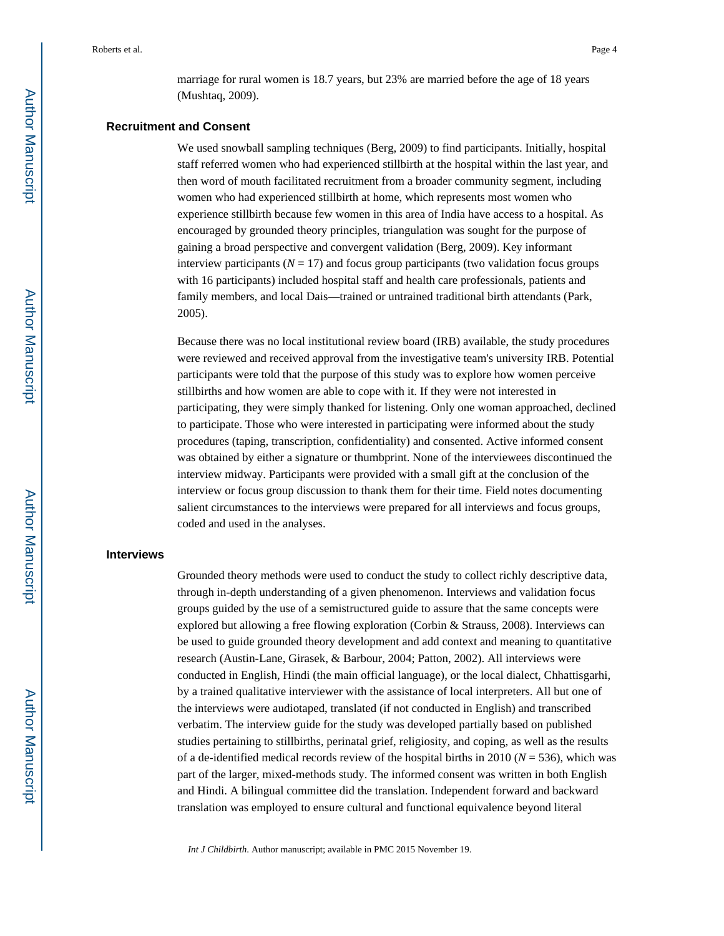marriage for rural women is 18.7 years, but 23% are married before the age of 18 years (Mushtaq, 2009).

#### **Recruitment and Consent**

We used snowball sampling techniques (Berg, 2009) to find participants. Initially, hospital staff referred women who had experienced stillbirth at the hospital within the last year, and then word of mouth facilitated recruitment from a broader community segment, including women who had experienced stillbirth at home, which represents most women who experience stillbirth because few women in this area of India have access to a hospital. As encouraged by grounded theory principles, triangulation was sought for the purpose of gaining a broad perspective and convergent validation (Berg, 2009). Key informant interview participants ( $N = 17$ ) and focus group participants (two validation focus groups with 16 participants) included hospital staff and health care professionals, patients and family members, and local Dais—trained or untrained traditional birth attendants (Park, 2005).

Because there was no local institutional review board (IRB) available, the study procedures were reviewed and received approval from the investigative team's university IRB. Potential participants were told that the purpose of this study was to explore how women perceive stillbirths and how women are able to cope with it. If they were not interested in participating, they were simply thanked for listening. Only one woman approached, declined to participate. Those who were interested in participating were informed about the study procedures (taping, transcription, confidentiality) and consented. Active informed consent was obtained by either a signature or thumbprint. None of the interviewees discontinued the interview midway. Participants were provided with a small gift at the conclusion of the interview or focus group discussion to thank them for their time. Field notes documenting salient circumstances to the interviews were prepared for all interviews and focus groups, coded and used in the analyses.

#### **Interviews**

Grounded theory methods were used to conduct the study to collect richly descriptive data, through in-depth understanding of a given phenomenon. Interviews and validation focus groups guided by the use of a semistructured guide to assure that the same concepts were explored but allowing a free flowing exploration (Corbin & Strauss, 2008). Interviews can be used to guide grounded theory development and add context and meaning to quantitative research (Austin-Lane, Girasek, & Barbour, 2004; Patton, 2002). All interviews were conducted in English, Hindi (the main official language), or the local dialect, Chhattisgarhi, by a trained qualitative interviewer with the assistance of local interpreters. All but one of the interviews were audiotaped, translated (if not conducted in English) and transcribed verbatim. The interview guide for the study was developed partially based on published studies pertaining to stillbirths, perinatal grief, religiosity, and coping, as well as the results of a de-identified medical records review of the hospital births in 2010 ( $N = 536$ ), which was part of the larger, mixed-methods study. The informed consent was written in both English and Hindi. A bilingual committee did the translation. Independent forward and backward translation was employed to ensure cultural and functional equivalence beyond literal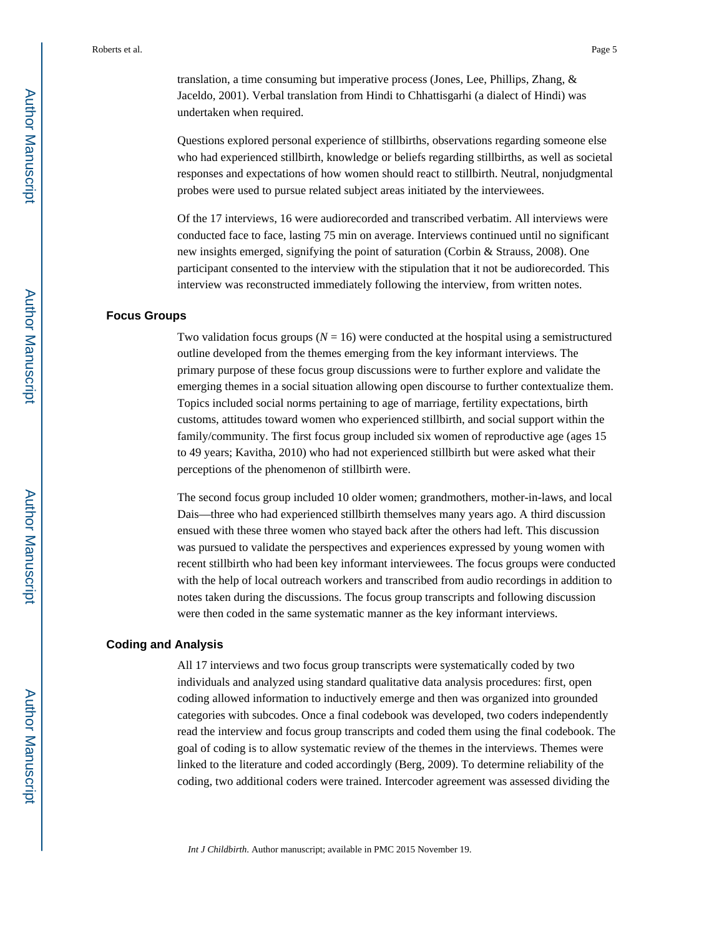translation, a time consuming but imperative process (Jones, Lee, Phillips, Zhang, & Jaceldo, 2001). Verbal translation from Hindi to Chhattisgarhi (a dialect of Hindi) was undertaken when required.

Questions explored personal experience of stillbirths, observations regarding someone else who had experienced stillbirth, knowledge or beliefs regarding stillbirths, as well as societal responses and expectations of how women should react to stillbirth. Neutral, nonjudgmental probes were used to pursue related subject areas initiated by the interviewees.

Of the 17 interviews, 16 were audiorecorded and transcribed verbatim. All interviews were conducted face to face, lasting 75 min on average. Interviews continued until no significant new insights emerged, signifying the point of saturation (Corbin & Strauss, 2008). One participant consented to the interview with the stipulation that it not be audiorecorded. This interview was reconstructed immediately following the interview, from written notes.

#### **Focus Groups**

Two validation focus groups  $(N = 16)$  were conducted at the hospital using a semistructured outline developed from the themes emerging from the key informant interviews. The primary purpose of these focus group discussions were to further explore and validate the emerging themes in a social situation allowing open discourse to further contextualize them. Topics included social norms pertaining to age of marriage, fertility expectations, birth customs, attitudes toward women who experienced stillbirth, and social support within the family/community. The first focus group included six women of reproductive age (ages 15 to 49 years; Kavitha, 2010) who had not experienced stillbirth but were asked what their perceptions of the phenomenon of stillbirth were.

The second focus group included 10 older women; grandmothers, mother-in-laws, and local Dais—three who had experienced stillbirth themselves many years ago. A third discussion ensued with these three women who stayed back after the others had left. This discussion was pursued to validate the perspectives and experiences expressed by young women with recent stillbirth who had been key informant interviewees. The focus groups were conducted with the help of local outreach workers and transcribed from audio recordings in addition to notes taken during the discussions. The focus group transcripts and following discussion were then coded in the same systematic manner as the key informant interviews.

#### **Coding and Analysis**

All 17 interviews and two focus group transcripts were systematically coded by two individuals and analyzed using standard qualitative data analysis procedures: first, open coding allowed information to inductively emerge and then was organized into grounded categories with subcodes. Once a final codebook was developed, two coders independently read the interview and focus group transcripts and coded them using the final codebook. The goal of coding is to allow systematic review of the themes in the interviews. Themes were linked to the literature and coded accordingly (Berg, 2009). To determine reliability of the coding, two additional coders were trained. Intercoder agreement was assessed dividing the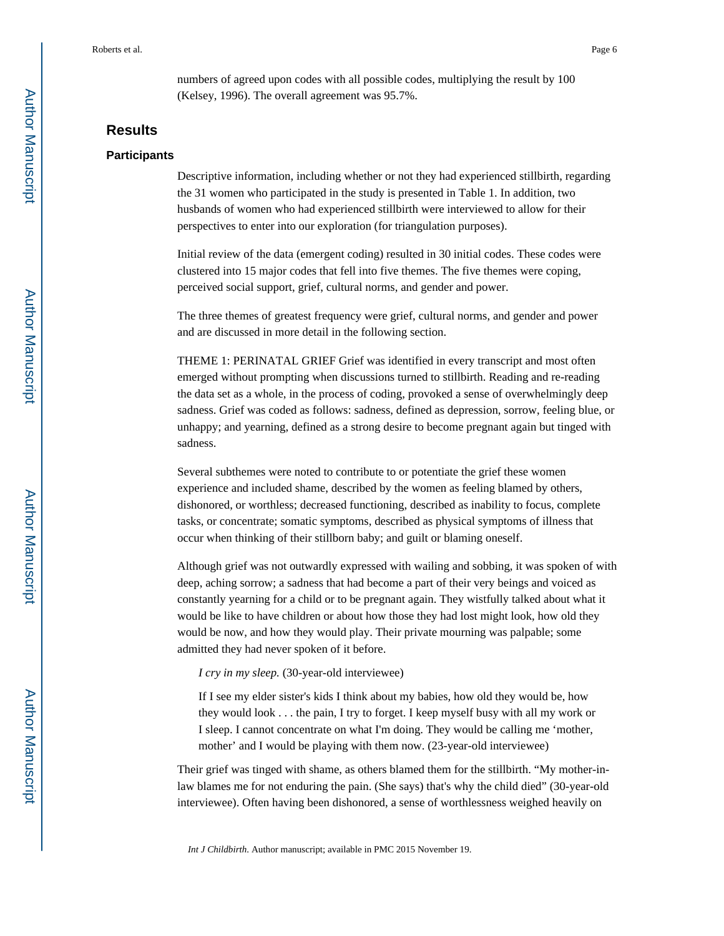numbers of agreed upon codes with all possible codes, multiplying the result by 100 (Kelsey, 1996). The overall agreement was 95.7%.

## **Results**

#### **Participants**

Descriptive information, including whether or not they had experienced stillbirth, regarding the 31 women who participated in the study is presented in Table 1. In addition, two husbands of women who had experienced stillbirth were interviewed to allow for their perspectives to enter into our exploration (for triangulation purposes).

Initial review of the data (emergent coding) resulted in 30 initial codes. These codes were clustered into 15 major codes that fell into five themes. The five themes were coping, perceived social support, grief, cultural norms, and gender and power.

The three themes of greatest frequency were grief, cultural norms, and gender and power and are discussed in more detail in the following section.

THEME 1: PERINATAL GRIEF Grief was identified in every transcript and most often emerged without prompting when discussions turned to stillbirth. Reading and re-reading the data set as a whole, in the process of coding, provoked a sense of overwhelmingly deep sadness. Grief was coded as follows: sadness, defined as depression, sorrow, feeling blue, or unhappy; and yearning, defined as a strong desire to become pregnant again but tinged with sadness.

Several subthemes were noted to contribute to or potentiate the grief these women experience and included shame, described by the women as feeling blamed by others, dishonored, or worthless; decreased functioning, described as inability to focus, complete tasks, or concentrate; somatic symptoms, described as physical symptoms of illness that occur when thinking of their stillborn baby; and guilt or blaming oneself.

Although grief was not outwardly expressed with wailing and sobbing, it was spoken of with deep, aching sorrow; a sadness that had become a part of their very beings and voiced as constantly yearning for a child or to be pregnant again. They wistfully talked about what it would be like to have children or about how those they had lost might look, how old they would be now, and how they would play. Their private mourning was palpable; some admitted they had never spoken of it before.

*I cry in my sleep.* (30-year-old interviewee)

If I see my elder sister's kids I think about my babies, how old they would be, how they would look . . . the pain, I try to forget. I keep myself busy with all my work or I sleep. I cannot concentrate on what I'm doing. They would be calling me 'mother, mother' and I would be playing with them now. (23-year-old interviewee)

Their grief was tinged with shame, as others blamed them for the stillbirth. "My mother-inlaw blames me for not enduring the pain. (She says) that's why the child died" (30-year-old interviewee). Often having been dishonored, a sense of worthlessness weighed heavily on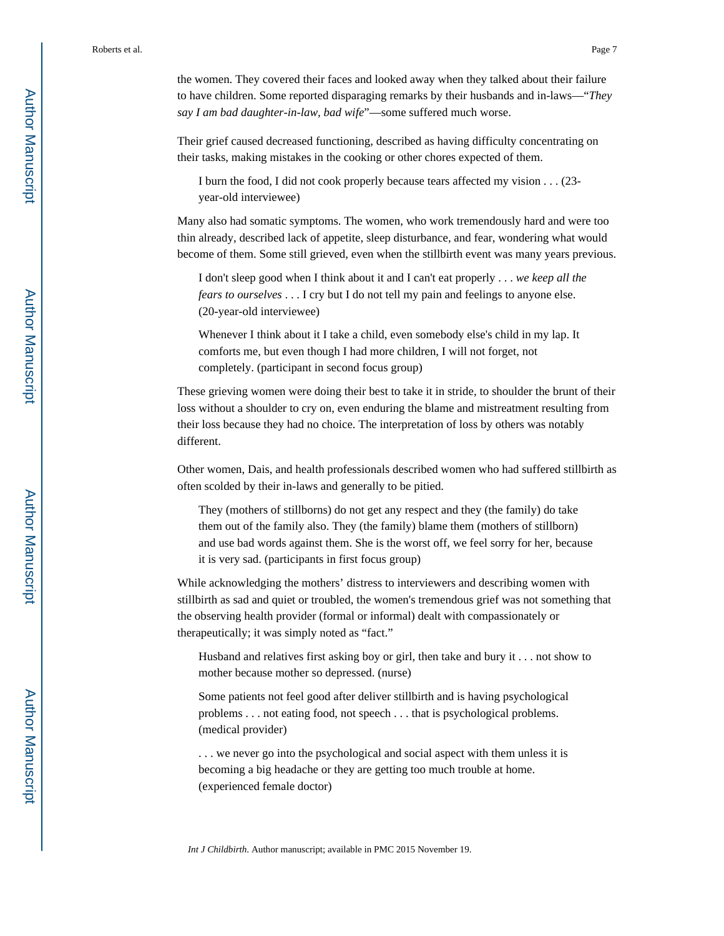the women. They covered their faces and looked away when they talked about their failure to have children. Some reported disparaging remarks by their husbands and in-laws—"*They say I am bad daughter-in-law, bad wife*"—some suffered much worse.

Their grief caused decreased functioning, described as having difficulty concentrating on their tasks, making mistakes in the cooking or other chores expected of them.

I burn the food, I did not cook properly because tears affected my vision . . . (23 year-old interviewee)

Many also had somatic symptoms. The women, who work tremendously hard and were too thin already, described lack of appetite, sleep disturbance, and fear, wondering what would become of them. Some still grieved, even when the stillbirth event was many years previous.

I don't sleep good when I think about it and I can't eat properly . . . *we keep all the fears to ourselves* . . . I cry but I do not tell my pain and feelings to anyone else. (20-year-old interviewee)

Whenever I think about it I take a child, even somebody else's child in my lap. It comforts me, but even though I had more children, I will not forget, not completely. (participant in second focus group)

These grieving women were doing their best to take it in stride, to shoulder the brunt of their loss without a shoulder to cry on, even enduring the blame and mistreatment resulting from their loss because they had no choice. The interpretation of loss by others was notably different.

Other women, Dais, and health professionals described women who had suffered stillbirth as often scolded by their in-laws and generally to be pitied.

They (mothers of stillborns) do not get any respect and they (the family) do take them out of the family also. They (the family) blame them (mothers of stillborn) and use bad words against them. She is the worst off, we feel sorry for her, because it is very sad. (participants in first focus group)

While acknowledging the mothers' distress to interviewers and describing women with stillbirth as sad and quiet or troubled, the women's tremendous grief was not something that the observing health provider (formal or informal) dealt with compassionately or therapeutically; it was simply noted as "fact."

Husband and relatives first asking boy or girl, then take and bury it . . . not show to mother because mother so depressed. (nurse)

Some patients not feel good after deliver stillbirth and is having psychological problems . . . not eating food, not speech . . . that is psychological problems. (medical provider)

. . . we never go into the psychological and social aspect with them unless it is becoming a big headache or they are getting too much trouble at home. (experienced female doctor)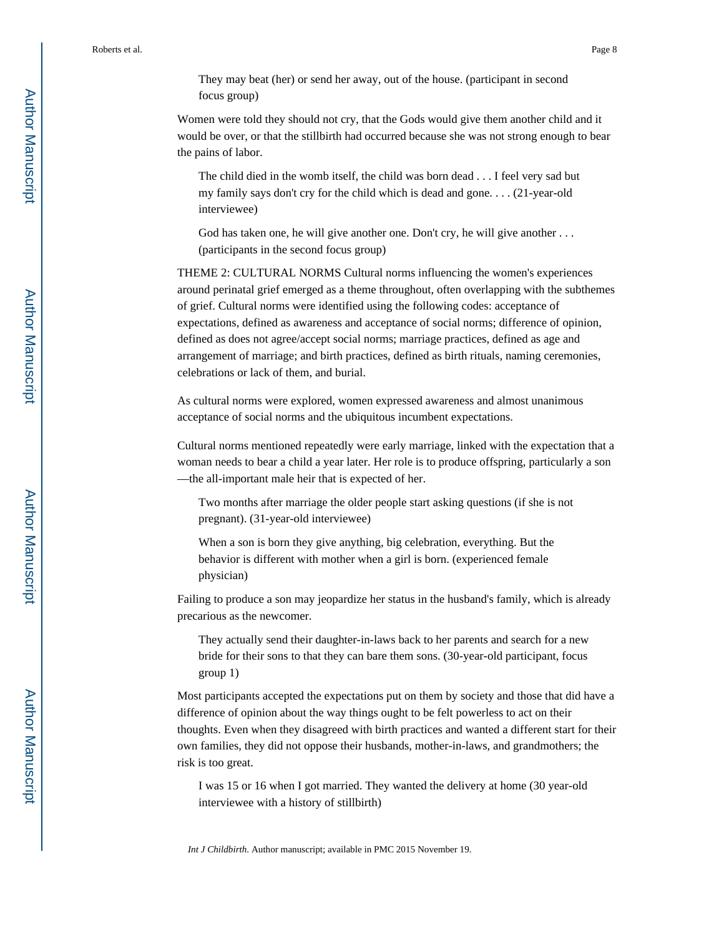They may beat (her) or send her away, out of the house. (participant in second focus group)

Women were told they should not cry, that the Gods would give them another child and it would be over, or that the stillbirth had occurred because she was not strong enough to bear the pains of labor.

The child died in the womb itself, the child was born dead . . . I feel very sad but my family says don't cry for the child which is dead and gone. . . . (21-year-old interviewee)

God has taken one, he will give another one. Don't cry, he will give another ... (participants in the second focus group)

THEME 2: CULTURAL NORMS Cultural norms influencing the women's experiences around perinatal grief emerged as a theme throughout, often overlapping with the subthemes of grief. Cultural norms were identified using the following codes: acceptance of expectations, defined as awareness and acceptance of social norms; difference of opinion, defined as does not agree/accept social norms; marriage practices, defined as age and arrangement of marriage; and birth practices, defined as birth rituals, naming ceremonies, celebrations or lack of them, and burial.

As cultural norms were explored, women expressed awareness and almost unanimous acceptance of social norms and the ubiquitous incumbent expectations.

Cultural norms mentioned repeatedly were early marriage, linked with the expectation that a woman needs to bear a child a year later. Her role is to produce offspring, particularly a son —the all-important male heir that is expected of her.

Two months after marriage the older people start asking questions (if she is not pregnant). (31-year-old interviewee)

When a son is born they give anything, big celebration, everything. But the behavior is different with mother when a girl is born. (experienced female physician)

Failing to produce a son may jeopardize her status in the husband's family, which is already precarious as the newcomer.

They actually send their daughter-in-laws back to her parents and search for a new bride for their sons to that they can bare them sons. (30-year-old participant, focus group 1)

Most participants accepted the expectations put on them by society and those that did have a difference of opinion about the way things ought to be felt powerless to act on their thoughts. Even when they disagreed with birth practices and wanted a different start for their own families, they did not oppose their husbands, mother-in-laws, and grandmothers; the risk is too great.

I was 15 or 16 when I got married. They wanted the delivery at home (30 year-old interviewee with a history of stillbirth)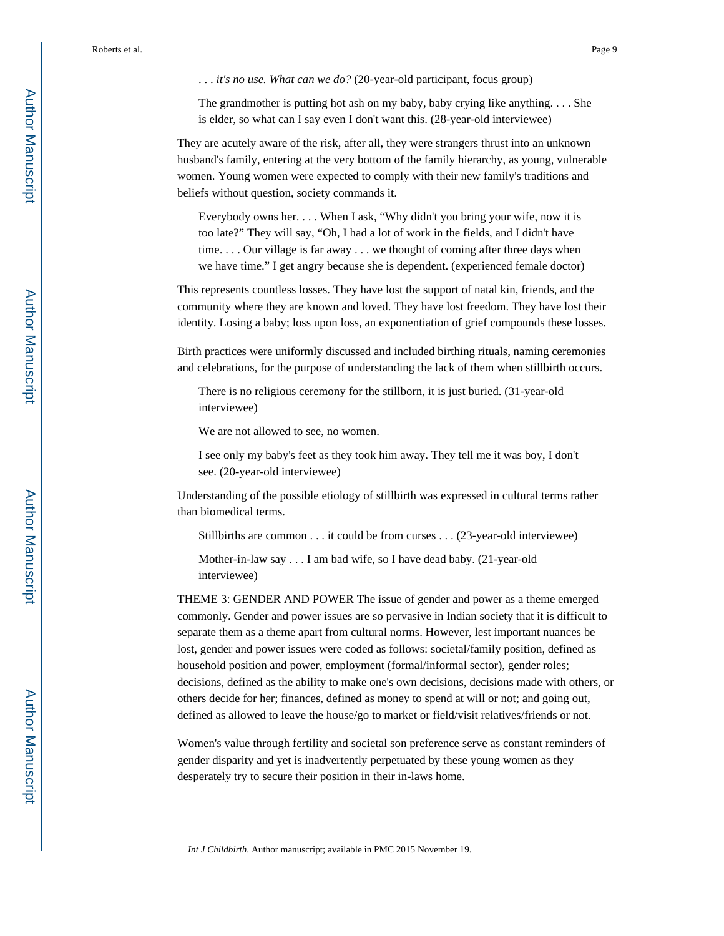. . . *it's no use. What can we do?* (20-year-old participant, focus group)

The grandmother is putting hot ash on my baby, baby crying like anything. . . . She is elder, so what can I say even I don't want this. (28-year-old interviewee)

They are acutely aware of the risk, after all, they were strangers thrust into an unknown husband's family, entering at the very bottom of the family hierarchy, as young, vulnerable women. Young women were expected to comply with their new family's traditions and beliefs without question, society commands it.

Everybody owns her. . . . When I ask, "Why didn't you bring your wife, now it is too late?" They will say, "Oh, I had a lot of work in the fields, and I didn't have time. . . . Our village is far away . . . we thought of coming after three days when we have time." I get angry because she is dependent. (experienced female doctor)

This represents countless losses. They have lost the support of natal kin, friends, and the community where they are known and loved. They have lost freedom. They have lost their identity. Losing a baby; loss upon loss, an exponentiation of grief compounds these losses.

Birth practices were uniformly discussed and included birthing rituals, naming ceremonies and celebrations, for the purpose of understanding the lack of them when stillbirth occurs.

There is no religious ceremony for the stillborn, it is just buried. (31-year-old interviewee)

We are not allowed to see, no women.

I see only my baby's feet as they took him away. They tell me it was boy, I don't see. (20-year-old interviewee)

Understanding of the possible etiology of stillbirth was expressed in cultural terms rather than biomedical terms.

Stillbirths are common . . . it could be from curses . . . (23-year-old interviewee)

Mother-in-law say . . . I am bad wife, so I have dead baby. (21-year-old interviewee)

THEME 3: GENDER AND POWER The issue of gender and power as a theme emerged commonly. Gender and power issues are so pervasive in Indian society that it is difficult to separate them as a theme apart from cultural norms. However, lest important nuances be lost, gender and power issues were coded as follows: societal/family position, defined as household position and power, employment (formal/informal sector), gender roles; decisions, defined as the ability to make one's own decisions, decisions made with others, or others decide for her; finances, defined as money to spend at will or not; and going out, defined as allowed to leave the house/go to market or field/visit relatives/friends or not.

Women's value through fertility and societal son preference serve as constant reminders of gender disparity and yet is inadvertently perpetuated by these young women as they desperately try to secure their position in their in-laws home.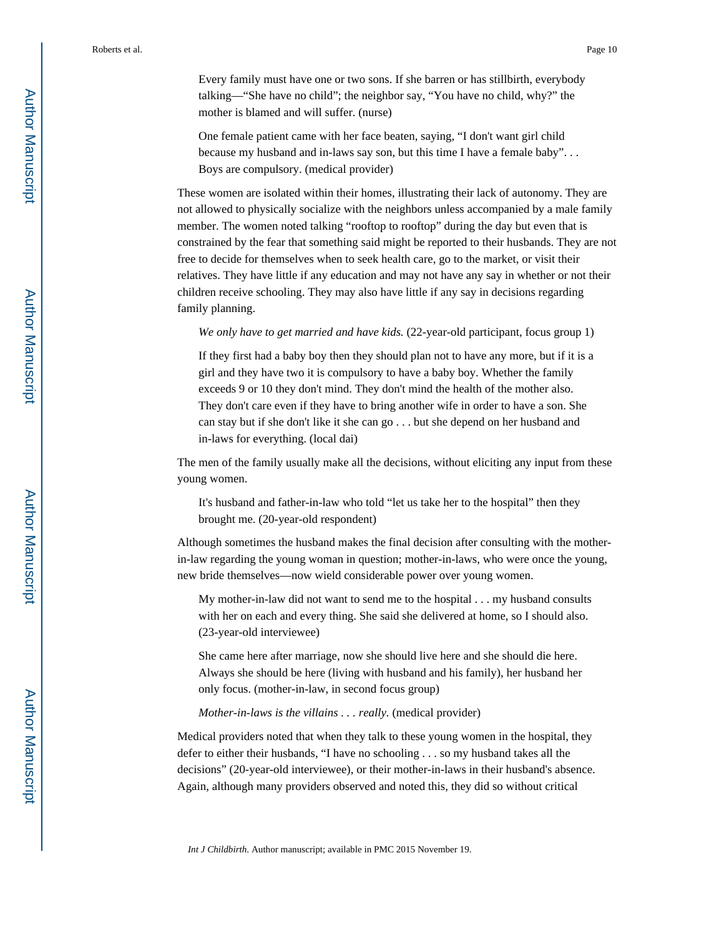Every family must have one or two sons. If she barren or has stillbirth, everybody talking—"She have no child"; the neighbor say, "You have no child, why?" the mother is blamed and will suffer. (nurse)

One female patient came with her face beaten, saying, "I don't want girl child because my husband and in-laws say son, but this time I have a female baby". . . Boys are compulsory. (medical provider)

These women are isolated within their homes, illustrating their lack of autonomy. They are not allowed to physically socialize with the neighbors unless accompanied by a male family member. The women noted talking "rooftop to rooftop" during the day but even that is constrained by the fear that something said might be reported to their husbands. They are not free to decide for themselves when to seek health care, go to the market, or visit their relatives. They have little if any education and may not have any say in whether or not their children receive schooling. They may also have little if any say in decisions regarding family planning.

*We only have to get married and have kids.* (22-year-old participant, focus group 1)

If they first had a baby boy then they should plan not to have any more, but if it is a girl and they have two it is compulsory to have a baby boy. Whether the family exceeds 9 or 10 they don't mind. They don't mind the health of the mother also. They don't care even if they have to bring another wife in order to have a son. She can stay but if she don't like it she can go . . . but she depend on her husband and in-laws for everything. (local dai)

The men of the family usually make all the decisions, without eliciting any input from these young women.

It's husband and father-in-law who told "let us take her to the hospital" then they brought me. (20-year-old respondent)

Although sometimes the husband makes the final decision after consulting with the motherin-law regarding the young woman in question; mother-in-laws, who were once the young, new bride themselves—now wield considerable power over young women.

My mother-in-law did not want to send me to the hospital . . . my husband consults with her on each and every thing. She said she delivered at home, so I should also. (23-year-old interviewee)

She came here after marriage, now she should live here and she should die here. Always she should be here (living with husband and his family), her husband her only focus. (mother-in-law, in second focus group)

#### *Mother-in-laws is the villains . . . really.* (medical provider)

Medical providers noted that when they talk to these young women in the hospital, they defer to either their husbands, "I have no schooling . . . so my husband takes all the decisions" (20-year-old interviewee), or their mother-in-laws in their husband's absence. Again, although many providers observed and noted this, they did so without critical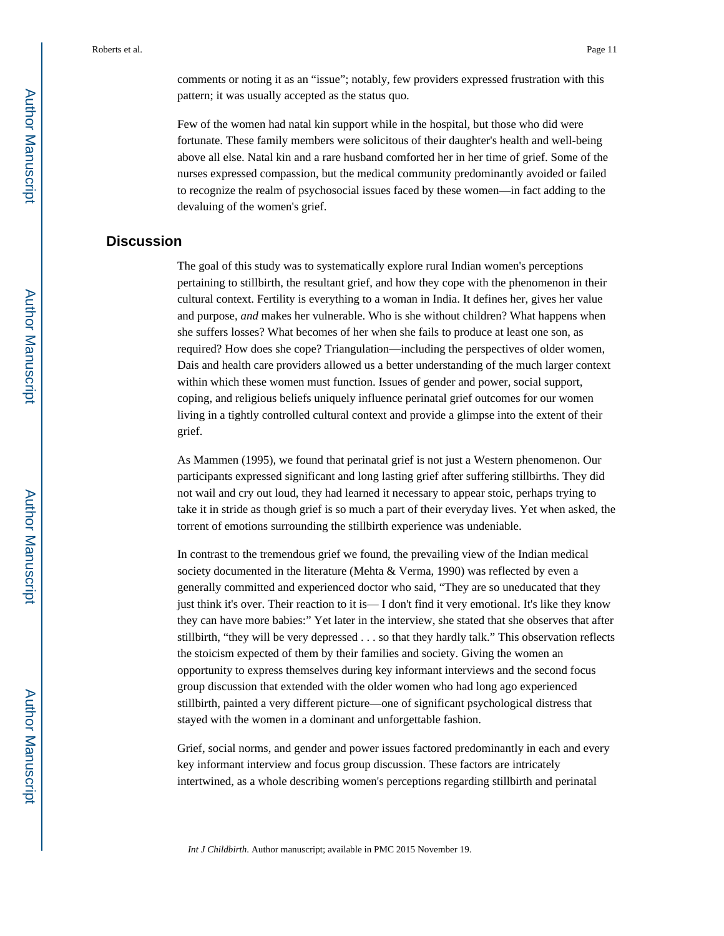comments or noting it as an "issue"; notably, few providers expressed frustration with this pattern; it was usually accepted as the status quo.

Few of the women had natal kin support while in the hospital, but those who did were fortunate. These family members were solicitous of their daughter's health and well-being above all else. Natal kin and a rare husband comforted her in her time of grief. Some of the nurses expressed compassion, but the medical community predominantly avoided or failed to recognize the realm of psychosocial issues faced by these women—in fact adding to the devaluing of the women's grief.

## **Discussion**

The goal of this study was to systematically explore rural Indian women's perceptions pertaining to stillbirth, the resultant grief, and how they cope with the phenomenon in their cultural context. Fertility is everything to a woman in India. It defines her, gives her value and purpose, *and* makes her vulnerable. Who is she without children? What happens when she suffers losses? What becomes of her when she fails to produce at least one son, as required? How does she cope? Triangulation—including the perspectives of older women, Dais and health care providers allowed us a better understanding of the much larger context within which these women must function. Issues of gender and power, social support, coping, and religious beliefs uniquely influence perinatal grief outcomes for our women living in a tightly controlled cultural context and provide a glimpse into the extent of their grief.

As Mammen (1995), we found that perinatal grief is not just a Western phenomenon. Our participants expressed significant and long lasting grief after suffering stillbirths. They did not wail and cry out loud, they had learned it necessary to appear stoic, perhaps trying to take it in stride as though grief is so much a part of their everyday lives. Yet when asked, the torrent of emotions surrounding the stillbirth experience was undeniable.

In contrast to the tremendous grief we found, the prevailing view of the Indian medical society documented in the literature (Mehta & Verma, 1990) was reflected by even a generally committed and experienced doctor who said, "They are so uneducated that they just think it's over. Their reaction to it is— I don't find it very emotional. It's like they know they can have more babies:" Yet later in the interview, she stated that she observes that after stillbirth, "they will be very depressed . . . so that they hardly talk." This observation reflects the stoicism expected of them by their families and society. Giving the women an opportunity to express themselves during key informant interviews and the second focus group discussion that extended with the older women who had long ago experienced stillbirth, painted a very different picture—one of significant psychological distress that stayed with the women in a dominant and unforgettable fashion.

Grief, social norms, and gender and power issues factored predominantly in each and every key informant interview and focus group discussion. These factors are intricately intertwined, as a whole describing women's perceptions regarding stillbirth and perinatal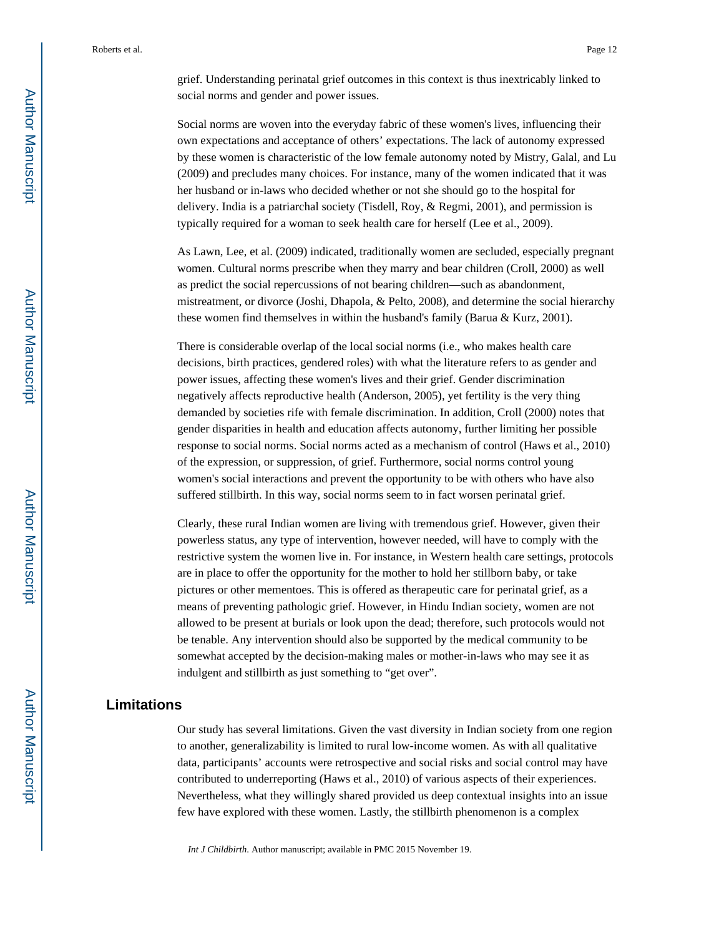grief. Understanding perinatal grief outcomes in this context is thus inextricably linked to social norms and gender and power issues.

Social norms are woven into the everyday fabric of these women's lives, influencing their own expectations and acceptance of others' expectations. The lack of autonomy expressed by these women is characteristic of the low female autonomy noted by Mistry, Galal, and Lu (2009) and precludes many choices. For instance, many of the women indicated that it was her husband or in-laws who decided whether or not she should go to the hospital for delivery. India is a patriarchal society (Tisdell, Roy, & Regmi, 2001), and permission is typically required for a woman to seek health care for herself (Lee et al., 2009).

As Lawn, Lee, et al. (2009) indicated, traditionally women are secluded, especially pregnant women. Cultural norms prescribe when they marry and bear children (Croll, 2000) as well as predict the social repercussions of not bearing children—such as abandonment, mistreatment, or divorce (Joshi, Dhapola, & Pelto, 2008), and determine the social hierarchy these women find themselves in within the husband's family (Barua & Kurz, 2001).

There is considerable overlap of the local social norms (i.e., who makes health care decisions, birth practices, gendered roles) with what the literature refers to as gender and power issues, affecting these women's lives and their grief. Gender discrimination negatively affects reproductive health (Anderson, 2005), yet fertility is the very thing demanded by societies rife with female discrimination. In addition, Croll (2000) notes that gender disparities in health and education affects autonomy, further limiting her possible response to social norms. Social norms acted as a mechanism of control (Haws et al., 2010) of the expression, or suppression, of grief. Furthermore, social norms control young women's social interactions and prevent the opportunity to be with others who have also suffered stillbirth. In this way, social norms seem to in fact worsen perinatal grief.

Clearly, these rural Indian women are living with tremendous grief. However, given their powerless status, any type of intervention, however needed, will have to comply with the restrictive system the women live in. For instance, in Western health care settings, protocols are in place to offer the opportunity for the mother to hold her stillborn baby, or take pictures or other mementoes. This is offered as therapeutic care for perinatal grief, as a means of preventing pathologic grief. However, in Hindu Indian society, women are not allowed to be present at burials or look upon the dead; therefore, such protocols would not be tenable. Any intervention should also be supported by the medical community to be somewhat accepted by the decision-making males or mother-in-laws who may see it as indulgent and stillbirth as just something to "get over".

## **Limitations**

Our study has several limitations. Given the vast diversity in Indian society from one region to another, generalizability is limited to rural low-income women. As with all qualitative data, participants' accounts were retrospective and social risks and social control may have contributed to underreporting (Haws et al., 2010) of various aspects of their experiences. Nevertheless, what they willingly shared provided us deep contextual insights into an issue few have explored with these women. Lastly, the stillbirth phenomenon is a complex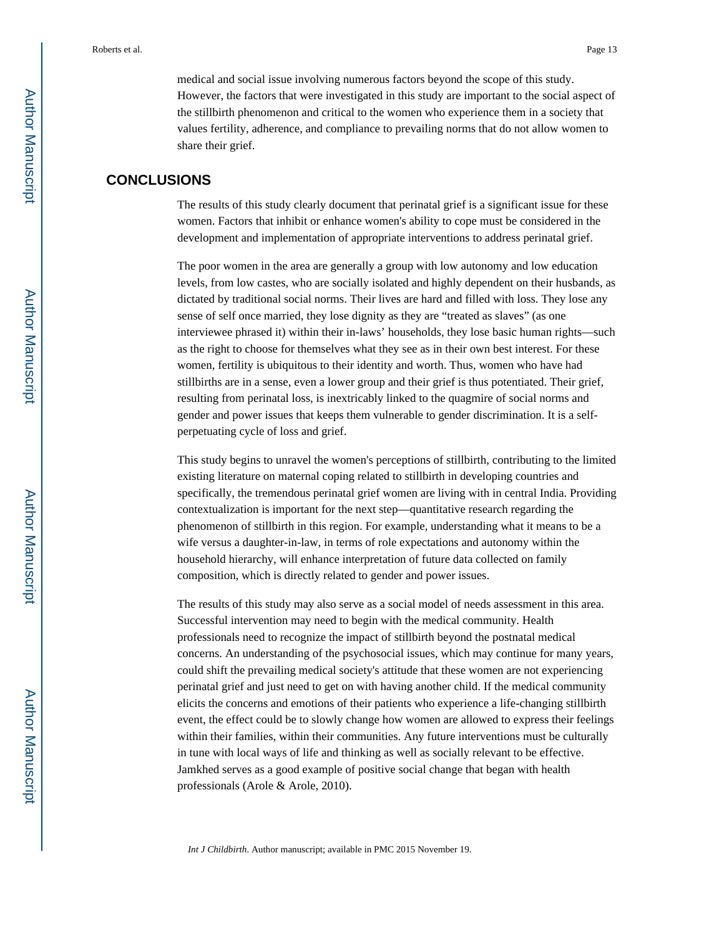medical and social issue involving numerous factors beyond the scope of this study. However, the factors that were investigated in this study are important to the social aspect of the stillbirth phenomenon and critical to the women who experience them in a society that values fertility, adherence, and compliance to prevailing norms that do not allow women to share their grief.

## **CONCLUSIONS**

The results of this study clearly document that perinatal grief is a significant issue for these women. Factors that inhibit or enhance women's ability to cope must be considered in the development and implementation of appropriate interventions to address perinatal grief.

The poor women in the area are generally a group with low autonomy and low education levels, from low castes, who are socially isolated and highly dependent on their husbands, as dictated by traditional social norms. Their lives are hard and filled with loss. They lose any sense of self once married, they lose dignity as they are "treated as slaves" (as one interviewee phrased it) within their in-laws' households, they lose basic human rights—such as the right to choose for themselves what they see as in their own best interest. For these women, fertility is ubiquitous to their identity and worth. Thus, women who have had stillbirths are in a sense, even a lower group and their grief is thus potentiated. Their grief, resulting from perinatal loss, is inextricably linked to the quagmire of social norms and gender and power issues that keeps them vulnerable to gender discrimination. It is a selfperpetuating cycle of loss and grief.

This study begins to unravel the women's perceptions of stillbirth, contributing to the limited existing literature on maternal coping related to stillbirth in developing countries and specifically, the tremendous perinatal grief women are living with in central India. Providing contextualization is important for the next step—quantitative research regarding the phenomenon of stillbirth in this region. For example, understanding what it means to be a wife versus a daughter-in-law, in terms of role expectations and autonomy within the household hierarchy, will enhance interpretation of future data collected on family composition, which is directly related to gender and power issues.

The results of this study may also serve as a social model of needs assessment in this area. Successful intervention may need to begin with the medical community. Health professionals need to recognize the impact of stillbirth beyond the postnatal medical concerns. An understanding of the psychosocial issues, which may continue for many years, could shift the prevailing medical society's attitude that these women are not experiencing perinatal grief and just need to get on with having another child. If the medical community elicits the concerns and emotions of their patients who experience a life-changing stillbirth event, the effect could be to slowly change how women are allowed to express their feelings within their families, within their communities. Any future interventions must be culturally in tune with local ways of life and thinking as well as socially relevant to be effective. Jamkhed serves as a good example of positive social change that began with health professionals (Arole & Arole, 2010).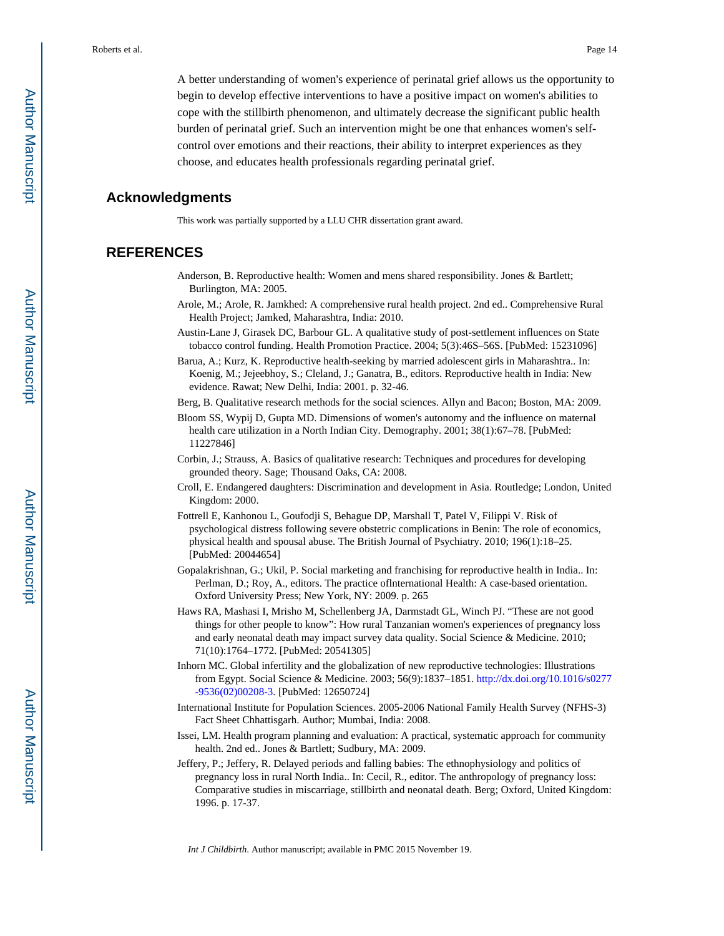A better understanding of women's experience of perinatal grief allows us the opportunity to begin to develop effective interventions to have a positive impact on women's abilities to cope with the stillbirth phenomenon, and ultimately decrease the significant public health burden of perinatal grief. Such an intervention might be one that enhances women's selfcontrol over emotions and their reactions, their ability to interpret experiences as they choose, and educates health professionals regarding perinatal grief.

#### **Acknowledgments**

This work was partially supported by a LLU CHR dissertation grant award.

### **REFERENCES**

- Anderson, B. Reproductive health: Women and mens shared responsibility. Jones & Bartlett; Burlington, MA: 2005.
- Arole, M.; Arole, R. Jamkhed: A comprehensive rural health project. 2nd ed.. Comprehensive Rural Health Project; Jamked, Maharashtra, India: 2010.
- Austin-Lane J, Girasek DC, Barbour GL. A qualitative study of post-settlement influences on State tobacco control funding. Health Promotion Practice. 2004; 5(3):46S–56S. [PubMed: 15231096]
- Barua, A.; Kurz, K. Reproductive health-seeking by married adolescent girls in Maharashtra.. In: Koenig, M.; Jejeebhoy, S.; Cleland, J.; Ganatra, B., editors. Reproductive health in India: New evidence. Rawat; New Delhi, India: 2001. p. 32-46.
- Berg, B. Qualitative research methods for the social sciences. Allyn and Bacon; Boston, MA: 2009.
- Bloom SS, Wypij D, Gupta MD. Dimensions of women's autonomy and the influence on maternal health care utilization in a North Indian City. Demography. 2001; 38(1):67–78. [PubMed: 11227846]
- Corbin, J.; Strauss, A. Basics of qualitative research: Techniques and procedures for developing grounded theory. Sage; Thousand Oaks, CA: 2008.
- Croll, E. Endangered daughters: Discrimination and development in Asia. Routledge; London, United Kingdom: 2000.
- Fottrell E, Kanhonou L, Goufodji S, Behague DP, Marshall T, Patel V, Filippi V. Risk of psychological distress following severe obstetric complications in Benin: The role of economics, physical health and spousal abuse. The British Journal of Psychiatry. 2010; 196(1):18–25. [PubMed: 20044654]
- Gopalakrishnan, G.; Ukil, P. Social marketing and franchising for reproductive health in India.. In: Perlman, D.; Roy, A., editors. The practice oflnternational Health: A case-based orientation. Oxford University Press; New York, NY: 2009. p. 265
- Haws RA, Mashasi I, Mrisho M, Schellenberg JA, Darmstadt GL, Winch PJ. "These are not good things for other people to know": How rural Tanzanian women's experiences of pregnancy loss and early neonatal death may impact survey data quality. Social Science & Medicine. 2010; 71(10):1764–1772. [PubMed: 20541305]
- Inhorn MC. Global infertility and the globalization of new reproductive technologies: Illustrations from Egypt. Social Science & Medicine. 2003; 56(9):1837–1851. [http://dx.doi.org/10.1016/s0277](http://dx.doi.org/10.1016/s0277-9536(02)00208-3) [-9536\(02\)00208-3.](http://dx.doi.org/10.1016/s0277-9536(02)00208-3) [PubMed: 12650724]
- International Institute for Population Sciences. 2005-2006 National Family Health Survey (NFHS-3) Fact Sheet Chhattisgarh. Author; Mumbai, India: 2008.
- Issei, LM. Health program planning and evaluation: A practical, systematic approach for community health. 2nd ed.. Jones & Bartlett; Sudbury, MA: 2009.
- Jeffery, P.; Jeffery, R. Delayed periods and falling babies: The ethnophysiology and politics of pregnancy loss in rural North India.. In: Cecil, R., editor. The anthropology of pregnancy loss: Comparative studies in miscarriage, stillbirth and neonatal death. Berg; Oxford, United Kingdom: 1996. p. 17-37.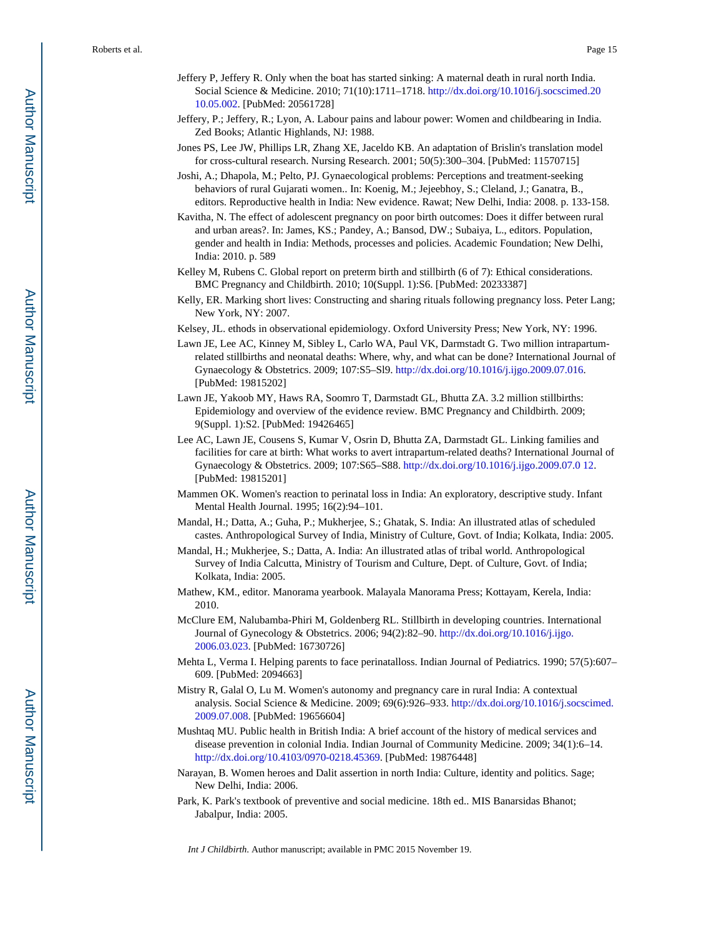- Jeffery P, Jeffery R. Only when the boat has started sinking: A maternal death in rural north India. Social Science & Medicine. 2010; 71(10):1711–1718. [http://dx.doi.org/10.1016/j.socscimed.20](http://dx.doi.org/10.1016/j.socscimed.2010.05.002) [10.05.002.](http://dx.doi.org/10.1016/j.socscimed.2010.05.002) [PubMed: 20561728]
- Jeffery, P.; Jeffery, R.; Lyon, A. Labour pains and labour power: Women and childbearing in India. Zed Books; Atlantic Highlands, NJ: 1988.
- Jones PS, Lee JW, Phillips LR, Zhang XE, Jaceldo KB. An adaptation of Brislin's translation model for cross-cultural research. Nursing Research. 2001; 50(5):300–304. [PubMed: 11570715]
- Joshi, A.; Dhapola, M.; Pelto, PJ. Gynaecological problems: Perceptions and treatment-seeking behaviors of rural Gujarati women.. In: Koenig, M.; Jejeebhoy, S.; Cleland, J.; Ganatra, B., editors. Reproductive health in India: New evidence. Rawat; New Delhi, India: 2008. p. 133-158.
- Kavitha, N. The effect of adolescent pregnancy on poor birth outcomes: Does it differ between rural and urban areas?. In: James, KS.; Pandey, A.; Bansod, DW.; Subaiya, L., editors. Population, gender and health in India: Methods, processes and policies. Academic Foundation; New Delhi, India: 2010. p. 589
- Kelley M, Rubens C. Global report on preterm birth and stillbirth (6 of 7): Ethical considerations. BMC Pregnancy and Childbirth. 2010; 10(Suppl. 1):S6. [PubMed: 20233387]
- Kelly, ER. Marking short lives: Constructing and sharing rituals following pregnancy loss. Peter Lang; New York, NY: 2007.
- Kelsey, JL. ethods in observational epidemiology. Oxford University Press; New York, NY: 1996.
- Lawn JE, Lee AC, Kinney M, Sibley L, Carlo WA, Paul VK, Darmstadt G. Two million intrapartumrelated stillbirths and neonatal deaths: Where, why, and what can be done? International Journal of Gynaecology & Obstetrics. 2009; 107:S5–Sl9. [http://dx.doi.org/10.1016/j.ijgo.2009.07.016.](http://dx.doi.org/10.1016/j.ijgo.2009.07.016) [PubMed: 19815202]
- Lawn JE, Yakoob MY, Haws RA, Soomro T, Darmstadt GL, Bhutta ZA. 3.2 million stillbirths: Epidemiology and overview of the evidence review. BMC Pregnancy and Childbirth. 2009; 9(Suppl. 1):S2. [PubMed: 19426465]
- Lee AC, Lawn JE, Cousens S, Kumar V, Osrin D, Bhutta ZA, Darmstadt GL. Linking families and facilities for care at birth: What works to avert intrapartum-related deaths? International Journal of Gynaecology & Obstetrics. 2009; 107:S65–S88. [http://dx.doi.org/10.1016/j.ijgo.2009.07.0 12](http://dx.doi.org/10.1016/j.ijgo.2009.07.012). [PubMed: 19815201]
- Mammen OK. Women's reaction to perinatal loss in India: An exploratory, descriptive study. Infant Mental Health Journal. 1995; 16(2):94–101.
- Mandal, H.; Datta, A.; Guha, P.; Mukherjee, S.; Ghatak, S. India: An illustrated atlas of scheduled castes. Anthropological Survey of India, Ministry of Culture, Govt. of India; Kolkata, India: 2005.
- Mandal, H.; Mukherjee, S.; Datta, A. India: An illustrated atlas of tribal world. Anthropological Survey of India Calcutta, Ministry of Tourism and Culture, Dept. of Culture, Govt. of India; Kolkata, India: 2005.
- Mathew, KM., editor. Manorama yearbook. Malayala Manorama Press; Kottayam, Kerela, India: 2010.
- McClure EM, Nalubamba-Phiri M, Goldenberg RL. Stillbirth in developing countries. International Journal of Gynecology & Obstetrics. 2006; 94(2):82–90. [http://dx.doi.org/10.1016/j.ijgo.](http://dx.doi.org/10.1016/j.ijgo.2006.03.023) [2006.03.023.](http://dx.doi.org/10.1016/j.ijgo.2006.03.023) [PubMed: 16730726]
- Mehta L, Verma I. Helping parents to face perinatalloss. Indian Journal of Pediatrics. 1990; 57(5):607– 609. [PubMed: 2094663]
- Mistry R, Galal O, Lu M. Women's autonomy and pregnancy care in rural India: A contextual analysis. Social Science & Medicine. 2009; 69(6):926–933. [http://dx.doi.org/10.1016/j.socscimed.](http://dx.doi.org/10.1016/j.socscimed.2009.07.008) [2009.07.008.](http://dx.doi.org/10.1016/j.socscimed.2009.07.008) [PubMed: 19656604]
- Mushtaq MU. Public health in British India: A brief account of the history of medical services and disease prevention in colonial India. Indian Journal of Community Medicine. 2009; 34(1):6–14. [http://dx.doi.org/10.4103/0970-0218.45369.](http://dx.doi.org/10.4103/0970-0218.45369) [PubMed: 19876448]
- Narayan, B. Women heroes and Dalit assertion in north India: Culture, identity and politics. Sage; New Delhi, India: 2006.
- Park, K. Park's textbook of preventive and social medicine. 18th ed.. MIS Banarsidas Bhanot; Jabalpur, India: 2005.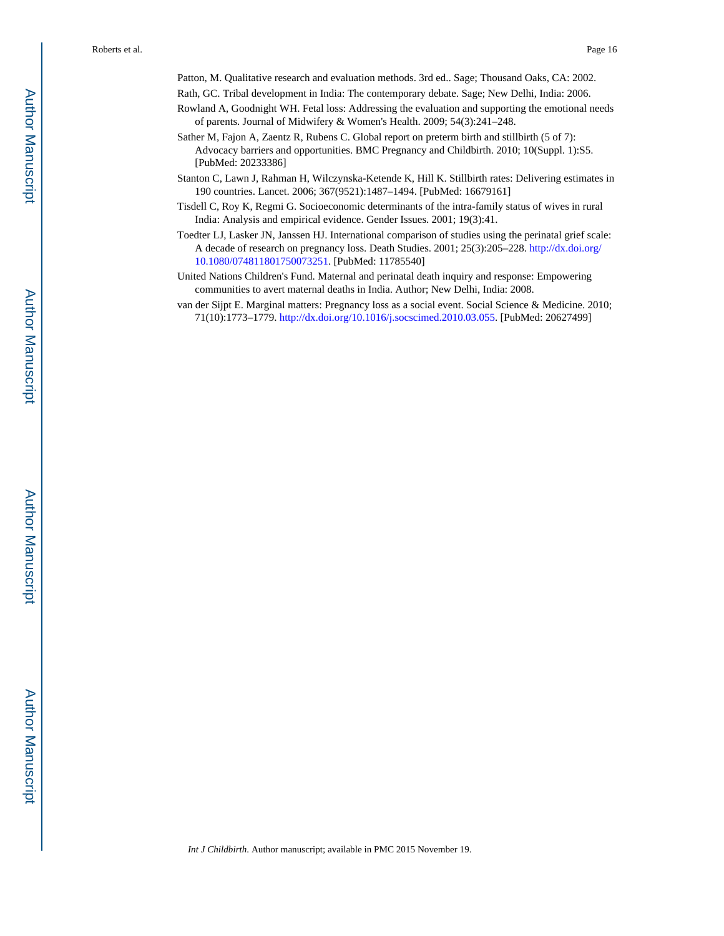Patton, M. Qualitative research and evaluation methods. 3rd ed.. Sage; Thousand Oaks, CA: 2002.

- Rath, GC. Tribal development in India: The contemporary debate. Sage; New Delhi, India: 2006.
- Rowland A, Goodnight WH. Fetal loss: Addressing the evaluation and supporting the emotional needs of parents. Journal of Midwifery & Women's Health. 2009; 54(3):241–248.
- Sather M, Fajon A, Zaentz R, Rubens C. Global report on preterm birth and stillbirth (5 of 7): Advocacy barriers and opportunities. BMC Pregnancy and Childbirth. 2010; 10(Suppl. 1):S5. [PubMed: 20233386]
- Stanton C, Lawn J, Rahman H, Wilczynska-Ketende K, Hill K. Stillbirth rates: Delivering estimates in 190 countries. Lancet. 2006; 367(9521):1487–1494. [PubMed: 16679161]
- Tisdell C, Roy K, Regmi G. Socioeconomic determinants of the intra-family status of wives in rural India: Analysis and empirical evidence. Gender Issues. 2001; 19(3):41.
- Toedter LJ, Lasker JN, Janssen HJ. International comparison of studies using the perinatal grief scale: A decade of research on pregnancy loss. Death Studies. 2001; 25(3):205–228. [http://dx.doi.org/](http://dx.doi.org/10.1080/074811801750073251) [10.1080/074811801750073251.](http://dx.doi.org/10.1080/074811801750073251) [PubMed: 11785540]
- United Nations Children's Fund. Maternal and perinatal death inquiry and response: Empowering communities to avert maternal deaths in India. Author; New Delhi, India: 2008.
- van der Sijpt E. Marginal matters: Pregnancy loss as a social event. Social Science & Medicine. 2010; 71(10):1773–1779. [http://dx.doi.org/10.1016/j.socscimed.2010.03.055.](http://dx.doi.org/10.1016/j.socscimed.2010.03.055) [PubMed: 20627499]